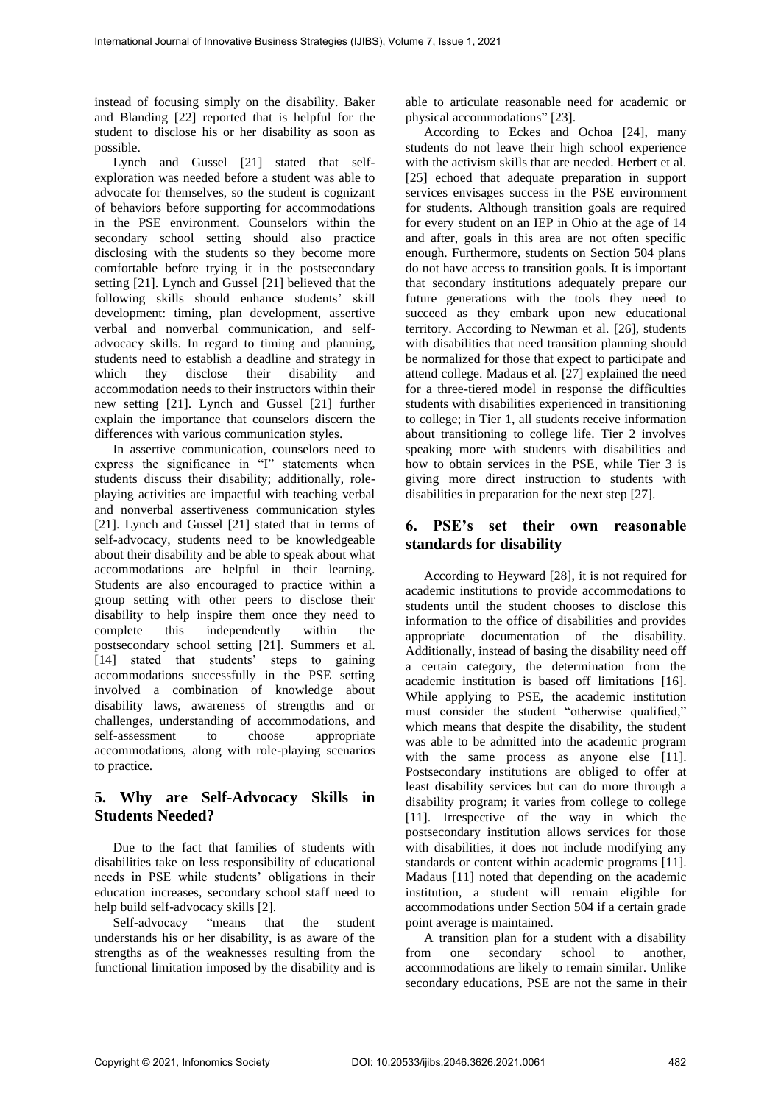instead of focusing simply on the disability. Baker and Blanding [22] reported that is helpful for the student to disclose his or her disability as soon as possible.

Lynch and Gussel [21] stated that selfexploration was needed before a student was able to advocate for themselves, so the student is cognizant of behaviors before supporting for accommodations in the PSE environment. Counselors within the secondary school setting should also practice disclosing with the students so they become more comfortable before trying it in the postsecondary setting [21]. Lynch and Gussel [21] believed that the following skills should enhance students' skill development: timing, plan development, assertive verbal and nonverbal communication, and selfadvocacy skills. In regard to timing and planning, students need to establish a deadline and strategy in which they disclose their disability and accommodation needs to their instructors within their new setting [21]. Lynch and Gussel [21] further explain the importance that counselors discern the differences with various communication styles.

In assertive communication, counselors need to express the significance in "I" statements when students discuss their disability; additionally, roleplaying activities are impactful with teaching verbal and nonverbal assertiveness communication styles [21]. Lynch and Gussel [21] stated that in terms of self-advocacy, students need to be knowledgeable about their disability and be able to speak about what accommodations are helpful in their learning. Students are also encouraged to practice within a group setting with other peers to disclose their disability to help inspire them once they need to complete this independently within the postsecondary school setting [21]. Summers et al. [14] stated that students' steps to gaining accommodations successfully in the PSE setting involved a combination of knowledge about disability laws, awareness of strengths and or challenges, understanding of accommodations, and self-assessment to choose appropriate accommodations, along with role-playing scenarios to practice.

# **5. Why are Self-Advocacy Skills in Students Needed?**

Due to the fact that families of students with disabilities take on less responsibility of educational needs in PSE while students' obligations in their education increases, secondary school staff need to help build self-advocacy skills [2].

Self-advocacy "means that the student understands his or her disability, is as aware of the strengths as of the weaknesses resulting from the functional limitation imposed by the disability and is

able to articulate reasonable need for academic or physical accommodations" [23].

According to Eckes and Ochoa [24], many students do not leave their high school experience with the activism skills that are needed. Herbert et al. [25] echoed that adequate preparation in support services envisages success in the PSE environment for students. Although transition goals are required for every student on an IEP in Ohio at the age of 14 and after, goals in this area are not often specific enough. Furthermore, students on Section 504 plans do not have access to transition goals. It is important that secondary institutions adequately prepare our future generations with the tools they need to succeed as they embark upon new educational territory. According to Newman et al. [26], students with disabilities that need transition planning should be normalized for those that expect to participate and attend college. Madaus et al. [27] explained the need for a three-tiered model in response the difficulties students with disabilities experienced in transitioning to college; in Tier 1, all students receive information about transitioning to college life. Tier 2 involves speaking more with students with disabilities and how to obtain services in the PSE, while Tier 3 is giving more direct instruction to students with disabilities in preparation for the next step [27].

# **6. PSE's set their own reasonable standards for disability**

According to Heyward [28], it is not required for academic institutions to provide accommodations to students until the student chooses to disclose this information to the office of disabilities and provides appropriate documentation of the disability. Additionally, instead of basing the disability need off a certain category, the determination from the academic institution is based off limitations [16]. While applying to PSE, the academic institution must consider the student "otherwise qualified," which means that despite the disability, the student was able to be admitted into the academic program with the same process as anyone else [11]. Postsecondary institutions are obliged to offer at least disability services but can do more through a disability program; it varies from college to college [11]. Irrespective of the way in which the postsecondary institution allows services for those with disabilities, it does not include modifying any standards or content within academic programs [11]. Madaus [11] noted that depending on the academic institution, a student will remain eligible for accommodations under Section 504 if a certain grade point average is maintained.

A transition plan for a student with a disability from one secondary school to another, accommodations are likely to remain similar. Unlike secondary educations, PSE are not the same in their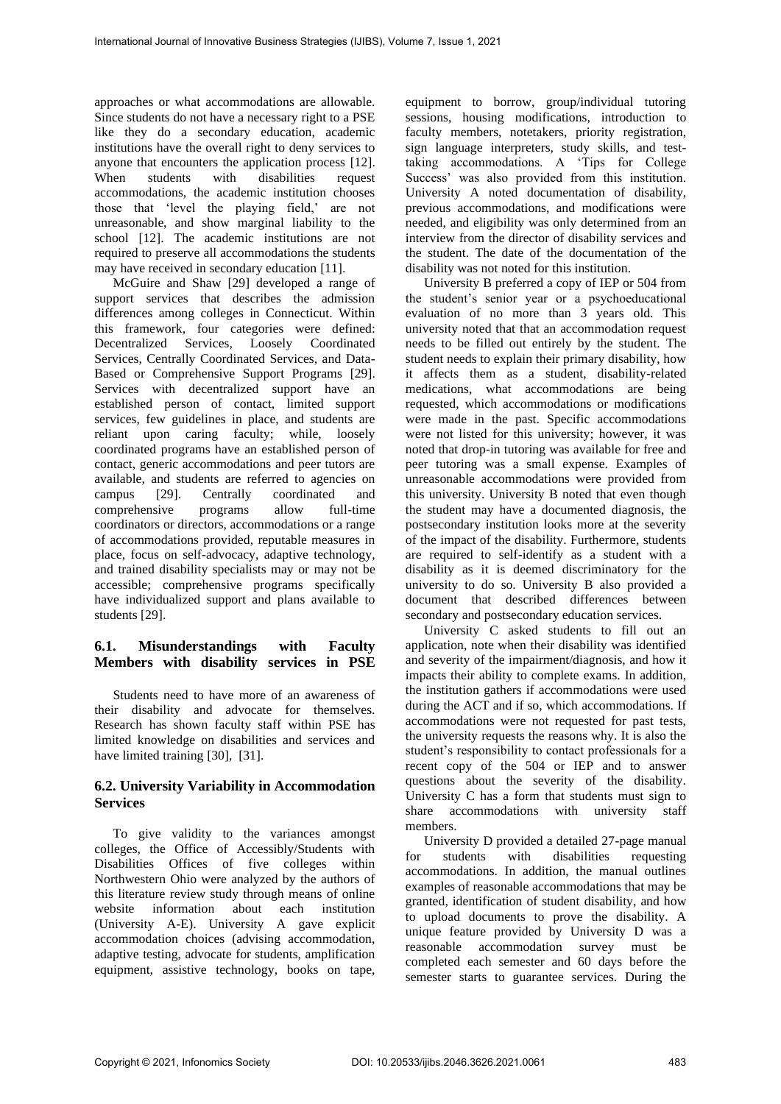approaches or what accommodations are allowable. Since students do not have a necessary right to a PSE like they do a secondary education, academic institutions have the overall right to deny services to anyone that encounters the application process [12]. When students with disabilities request accommodations, the academic institution chooses those that 'level the playing field,' are not unreasonable, and show marginal liability to the school [12]. The academic institutions are not required to preserve all accommodations the students may have received in secondary education [11].

McGuire and Shaw [29] developed a range of support services that describes the admission differences among colleges in Connecticut. Within this framework, four categories were defined: Decentralized Services, Loosely Coordinated Services, Centrally Coordinated Services, and Data-Based or Comprehensive Support Programs [29]. Services with decentralized support have an established person of contact, limited support services, few guidelines in place, and students are reliant upon caring faculty; while, loosely coordinated programs have an established person of contact, generic accommodations and peer tutors are available, and students are referred to agencies on campus [29]. Centrally coordinated and campus [29]. Centrally coordinated and comprehensive programs allow full-time coordinators or directors, accommodations or a range of accommodations provided, reputable measures in place, focus on self-advocacy, adaptive technology, and trained disability specialists may or may not be accessible; comprehensive programs specifically have individualized support and plans available to students [29].

## **6.1. Misunderstandings with Faculty Members with disability services in PSE**

Students need to have more of an awareness of their disability and advocate for themselves. Research has shown faculty staff within PSE has limited knowledge on disabilities and services and have limited training [30], [31].

## **6.2. University Variability in Accommodation Services**

To give validity to the variances amongst colleges, the Office of Accessibly/Students with Disabilities Offices of five colleges within Northwestern Ohio were analyzed by the authors of this literature review study through means of online website information about each institution (University A-E). University A gave explicit accommodation choices (advising accommodation, adaptive testing, advocate for students, amplification equipment, assistive technology, books on tape, equipment to borrow, group/individual tutoring sessions, housing modifications, introduction to faculty members, notetakers, priority registration, sign language interpreters, study skills, and testtaking accommodations. A 'Tips for College Success' was also provided from this institution. University A noted documentation of disability, previous accommodations, and modifications were needed, and eligibility was only determined from an interview from the director of disability services and the student. The date of the documentation of the disability was not noted for this institution.

University B preferred a copy of IEP or 504 from the student's senior year or a psychoeducational evaluation of no more than 3 years old. This university noted that that an accommodation request needs to be filled out entirely by the student. The student needs to explain their primary disability, how it affects them as a student, disability-related medications, what accommodations are being requested, which accommodations or modifications were made in the past. Specific accommodations were not listed for this university; however, it was noted that drop-in tutoring was available for free and peer tutoring was a small expense. Examples of unreasonable accommodations were provided from this university. University B noted that even though the student may have a documented diagnosis, the postsecondary institution looks more at the severity of the impact of the disability. Furthermore, students are required to self-identify as a student with a disability as it is deemed discriminatory for the university to do so. University B also provided a document that described differences between secondary and postsecondary education services.

University C asked students to fill out an application, note when their disability was identified and severity of the impairment/diagnosis, and how it impacts their ability to complete exams. In addition, the institution gathers if accommodations were used during the ACT and if so, which accommodations. If accommodations were not requested for past tests, the university requests the reasons why. It is also the student's responsibility to contact professionals for a recent copy of the 504 or IEP and to answer questions about the severity of the disability. University C has a form that students must sign to share accommodations with university staff members.

University D provided a detailed 27-page manual for students with disabilities requesting accommodations. In addition, the manual outlines examples of reasonable accommodations that may be granted, identification of student disability, and how to upload documents to prove the disability. A unique feature provided by University D was a reasonable accommodation survey must be completed each semester and 60 days before the semester starts to guarantee services. During the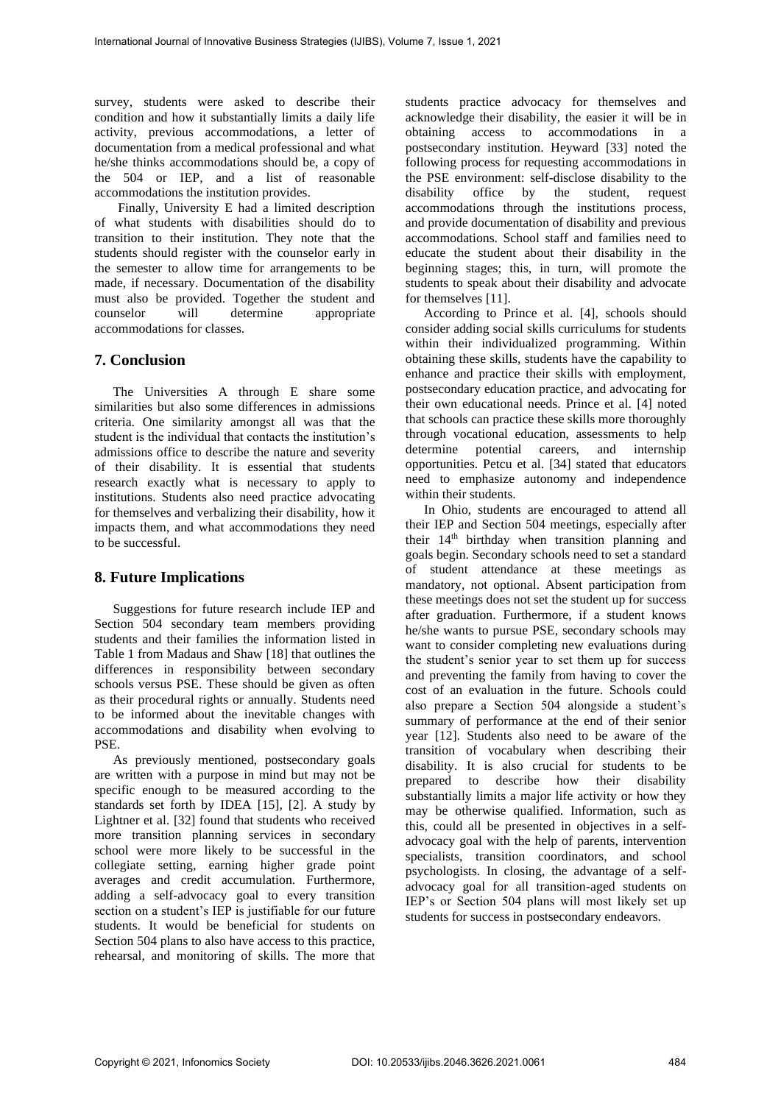survey, students were asked to describe their condition and how it substantially limits a daily life activity, previous accommodations, a letter of documentation from a medical professional and what he/she thinks accommodations should be, a copy of the 504 or IEP, and a list of reasonable accommodations the institution provides.

Finally, University E had a limited description of what students with disabilities should do to transition to their institution. They note that the students should register with the counselor early in the semester to allow time for arrangements to be made, if necessary. Documentation of the disability must also be provided. Together the student and<br>counselor will determine appropriate counselor will determine appropriate accommodations for classes.

#### **7. Conclusion**

The Universities A through E share some similarities but also some differences in admissions criteria. One similarity amongst all was that the student is the individual that contacts the institution's admissions office to describe the nature and severity of their disability. It is essential that students research exactly what is necessary to apply to institutions. Students also need practice advocating for themselves and verbalizing their disability, how it impacts them, and what accommodations they need to be successful.

#### **8. Future Implications**

Suggestions for future research include IEP and Section 504 secondary team members providing students and their families the information listed in Table 1 from Madaus and Shaw [18] that outlines the differences in responsibility between secondary schools versus PSE. These should be given as often as their procedural rights or annually. Students need to be informed about the inevitable changes with accommodations and disability when evolving to PSE.

As previously mentioned, postsecondary goals are written with a purpose in mind but may not be specific enough to be measured according to the standards set forth by IDEA [15], [2]. A study by Lightner et al. [32] found that students who received more transition planning services in secondary school were more likely to be successful in the collegiate setting, earning higher grade point averages and credit accumulation. Furthermore, adding a self-advocacy goal to every transition section on a student's IEP is justifiable for our future students. It would be beneficial for students on Section 504 plans to also have access to this practice, rehearsal, and monitoring of skills. The more that

students practice advocacy for themselves and acknowledge their disability, the easier it will be in obtaining access to accommodations in a postsecondary institution. Heyward [33] noted the following process for requesting accommodations in the PSE environment: self-disclose disability to the disability office by the student, request accommodations through the institutions process, and provide documentation of disability and previous accommodations. School staff and families need to educate the student about their disability in the beginning stages; this, in turn, will promote the students to speak about their disability and advocate for themselves [11].

According to Prince et al. [4], schools should consider adding social skills curriculums for students within their individualized programming. Within obtaining these skills, students have the capability to enhance and practice their skills with employment, postsecondary education practice, and advocating for their own educational needs. Prince et al. [4] noted that schools can practice these skills more thoroughly through vocational education, assessments to help determine potential careers, and internship opportunities. Petcu et al. [34] stated that educators need to emphasize autonomy and independence within their students.

In Ohio, students are encouraged to attend all their IEP and Section 504 meetings, especially after their  $14<sup>th</sup>$  birthday when transition planning and goals begin. Secondary schools need to set a standard of student attendance at these meetings as mandatory, not optional. Absent participation from these meetings does not set the student up for success after graduation. Furthermore, if a student knows he/she wants to pursue PSE, secondary schools may want to consider completing new evaluations during the student's senior year to set them up for success and preventing the family from having to cover the cost of an evaluation in the future. Schools could also prepare a Section 504 alongside a student's summary of performance at the end of their senior year [12]. Students also need to be aware of the transition of vocabulary when describing their disability. It is also crucial for students to be prepared to describe how their disability substantially limits a major life activity or how they may be otherwise qualified. Information, such as this, could all be presented in objectives in a selfadvocacy goal with the help of parents, intervention specialists, transition coordinators, and school psychologists. In closing, the advantage of a selfadvocacy goal for all transition-aged students on IEP's or Section 504 plans will most likely set up students for success in postsecondary endeavors.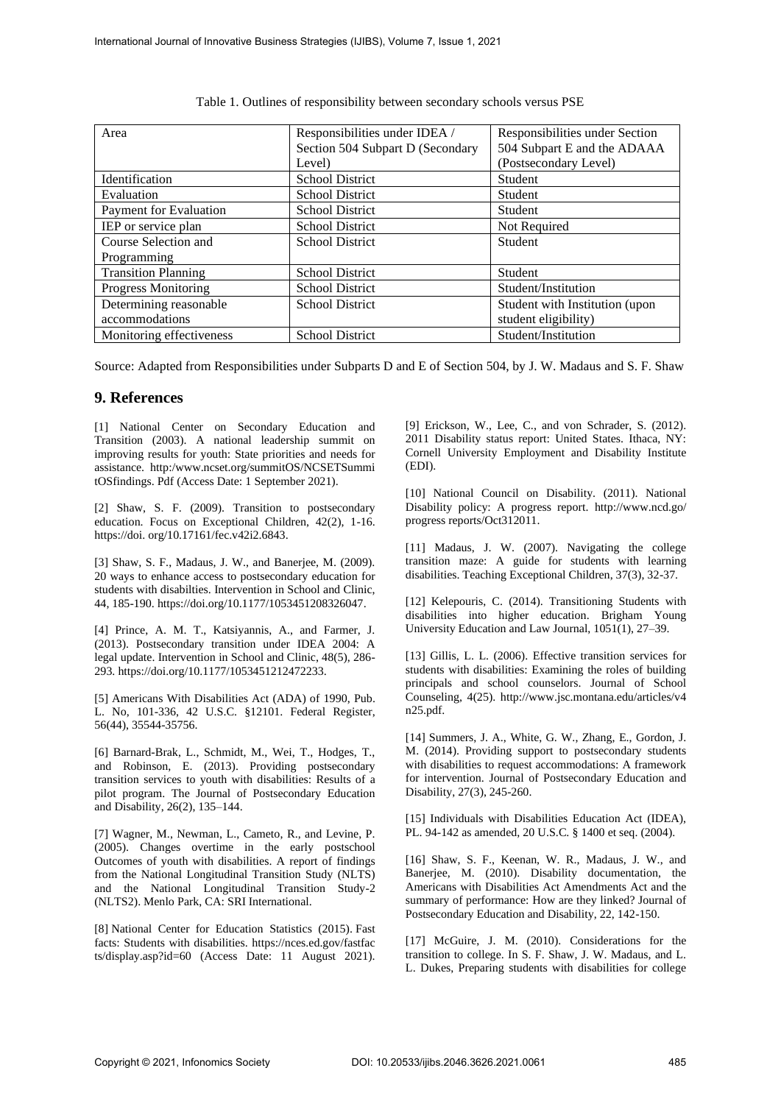| Area                       | Responsibilities under IDEA /<br>Section 504 Subpart D (Secondary | Responsibilities under Section<br>504 Subpart E and the ADAAA |
|----------------------------|-------------------------------------------------------------------|---------------------------------------------------------------|
|                            | Level)                                                            | (Postsecondary Level)                                         |
| Identification             | <b>School District</b>                                            | Student                                                       |
| Evaluation                 | <b>School District</b>                                            | <b>Student</b>                                                |
| Payment for Evaluation     | <b>School District</b>                                            | Student                                                       |
| IEP or service plan        | <b>School District</b>                                            | Not Required                                                  |
| Course Selection and       | <b>School District</b>                                            | <b>Student</b>                                                |
| Programming                |                                                                   |                                                               |
| <b>Transition Planning</b> | <b>School District</b>                                            | <b>Student</b>                                                |
| <b>Progress Monitoring</b> | <b>School District</b>                                            | Student/Institution                                           |
| Determining reasonable     | <b>School District</b>                                            | Student with Institution (upon                                |
| accommodations             |                                                                   | student eligibility)                                          |
| Monitoring effectiveness   | <b>School District</b>                                            | Student/Institution                                           |

Table 1. Outlines of responsibility between secondary schools versus PSE

Source: Adapted from Responsibilities under Subparts D and E of Section 504, by J. W. Madaus and S. F. Shaw

### **9. References**

[1] National Center on Secondary Education and Transition (2003). A national leadership summit on improving results for youth: State priorities and needs for assistance. http:/www.ncset.org/summitOS/NCSETSummi tOSfindings. Pdf (Access Date: 1 September 2021).

[2] Shaw, S. F. (2009). Transition to postsecondary education. Focus on Exceptional Children, 42(2), 1-16. https://doi. org/10.17161/fec.v42i2.6843.

[3] Shaw, S. F., Madaus, J. W., and Banerjee, M. (2009). 20 ways to enhance access to postsecondary education for students with disabilties. Intervention in School and Clinic, 44, 185-190. [https://doi.org/10.1177/1053451208326047.](https://doi.org/10.1177/1053451208326047)

[4] Prince, A. M. T., Katsiyannis, A., and Farmer, J. (2013). Postsecondary transition under IDEA 2004: A legal update. Intervention in School and Clinic, 48(5), 286- 293. https://doi.org/10.1177/1053451212472233.

[5] Americans With Disabilities Act (ADA) of 1990, Pub. L. No, 101-336, 42 U.S.C. §12101. Federal Register, 56(44), 35544-35756.

[6] Barnard-Brak, L., Schmidt, M., Wei, T., Hodges, T., and Robinson, E. (2013). Providing postsecondary transition services to youth with disabilities: Results of a pilot program. The Journal of Postsecondary Education and Disability, 26(2), 135–144.

[7] Wagner, M., Newman, L., Cameto, R., and Levine, P. (2005). Changes overtime in the early postschool Outcomes of youth with disabilities. A report of findings from the National Longitudinal Transition Study (NLTS) and the National Longitudinal Transition Study-2 (NLTS2). Menlo Park, CA: SRI International.

[8] National Center for Education Statistics (2015). Fast facts: Students with disabilities. https://nces.ed.gov/fastfac ts/display.asp?id=60 (Access Date: 11 August 2021).

[9] Erickson, W., Lee, C., and von Schrader, S. (2012). 2011 Disability status report: United States. Ithaca, NY: Cornell University Employment and Disability Institute (EDI).

[10] National Council on Disability. (2011). National Disability policy: A progress report. http://www.ncd.go/ progress reports/Oct312011.

[11] Madaus, J. W. (2007). Navigating the college transition maze: A guide for students with learning disabilities. Teaching Exceptional Children, 37(3), 32-37.

[12] Kelepouris, C. (2014). Transitioning Students with disabilities into higher education. Brigham Young University Education and Law Journal, 1051(1), 27–39.

[13] Gillis, L. L. (2006). Effective transition services for students with disabilities: Examining the roles of building principals and school counselors. Journal of School Counseling, 4(25). http://www.jsc.montana.edu/articles/v4 n25.pdf.

[14] Summers, J. A., White, G. W., Zhang, E., Gordon, J. M. (2014). Providing support to postsecondary students with disabilities to request accommodations: A framework for intervention. Journal of Postsecondary Education and Disability, 27(3), 245-260.

[15] Individuals with Disabilities Education Act (IDEA), PL. 94-142 as amended, 20 U.S.C. § 1400 et seq. (2004).

[16] Shaw, S. F., Keenan, W. R., Madaus, J. W., and Banerjee, M. (2010). Disability documentation, the Americans with Disabilities Act Amendments Act and the summary of performance: How are they linked? Journal of Postsecondary Education and Disability, 22, 142-150.

[17] McGuire, J. M. (2010). Considerations for the transition to college. In S. F. Shaw, J. W. Madaus, and L. L. Dukes, Preparing students with disabilities for college